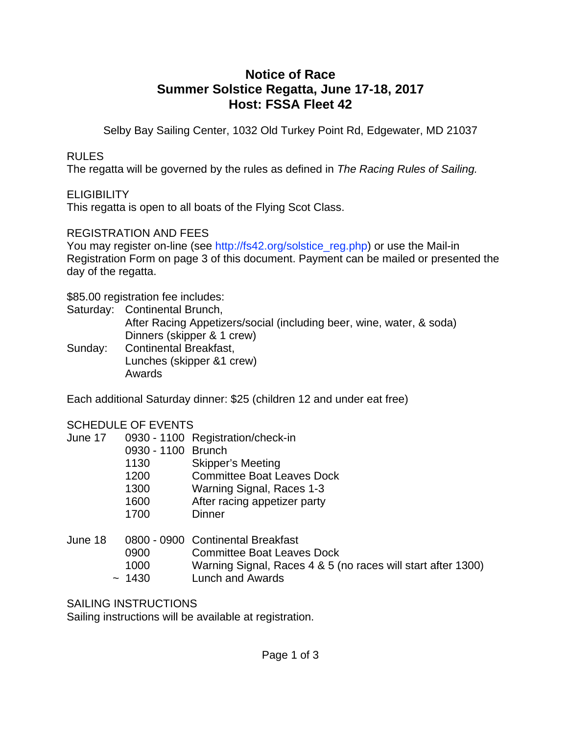## **Notice of Race Summer Solstice Regatta, June 17-18, 2017 Host: FSSA Fleet 42**

Selby Bay Sailing Center, 1032 Old Turkey Point Rd, Edgewater, MD 21037

#### RULES

The regatta will be governed by the rules as defined in *The Racing Rules of Sailing.*

## **ELIGIBILITY**

This regatta is open to all boats of the Flying Scot Class.

#### REGISTRATION AND FEES

You may register on-line (see http://fs42.org/solstice\_reg.php) or use the Mail-in Registration Form on page 3 of this document. Payment can be mailed or presented the day of the regatta.

\$85.00 registration fee includes:

Saturday: Continental Brunch,

After Racing Appetizers/social (including beer, wine, water, & soda) Dinners (skipper & 1 crew)

Sunday: Continental Breakfast, Lunches (skipper &1 crew) Awards

Each additional Saturday dinner: \$25 (children 12 and under eat free)

#### SCHEDULE OF EVENTS

| June 17 | 0930 - 1100 Brunch<br>1130<br>1200<br>1300<br>1600 | 0930 - 1100 Registration/check-in<br><b>Skipper's Meeting</b><br><b>Committee Boat Leaves Dock</b><br>Warning Signal, Races 1-3<br>After racing appetizer party |
|---------|----------------------------------------------------|-----------------------------------------------------------------------------------------------------------------------------------------------------------------|
|         | 1700                                               | <b>Dinner</b>                                                                                                                                                   |
| June 18 | nnnn                                               | 0800 - 0900 Continental Breakfast<br>Committee Beat Leaves Beald                                                                                                |

- 0900 Committee Boat Leaves Dock 1000 Warning Signal, Races 4 & 5 (no races will start after 1300)
	- $\sim$  1430 Lunch and Awards

## SAILING INSTRUCTIONS

Sailing instructions will be available at registration.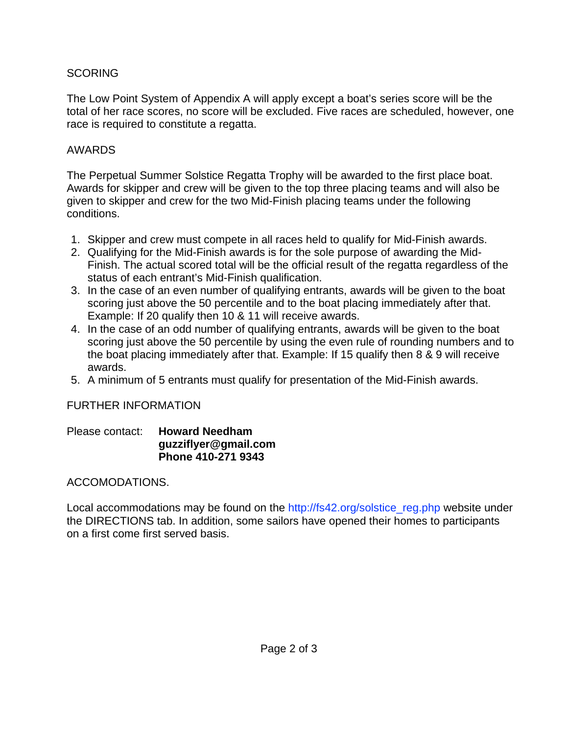#### **SCORING**

The Low Point System of Appendix A will apply except a boat's series score will be the total of her race scores, no score will be excluded. Five races are scheduled, however, one race is required to constitute a regatta.

## AWARDS

The Perpetual Summer Solstice Regatta Trophy will be awarded to the first place boat. Awards for skipper and crew will be given to the top three placing teams and will also be given to skipper and crew for the two Mid-Finish placing teams under the following conditions.

- 1. Skipper and crew must compete in all races held to qualify for Mid-Finish awards.
- 2. Qualifying for the Mid-Finish awards is for the sole purpose of awarding the Mid-Finish. The actual scored total will be the official result of the regatta regardless of the status of each entrant's Mid-Finish qualification.
- 3. In the case of an even number of qualifying entrants, awards will be given to the boat scoring just above the 50 percentile and to the boat placing immediately after that. Example: If 20 qualify then 10 & 11 will receive awards.
- 4. In the case of an odd number of qualifying entrants, awards will be given to the boat scoring just above the 50 percentile by using the even rule of rounding numbers and to the boat placing immediately after that. Example: If 15 qualify then 8 & 9 will receive awards.
- 5. A minimum of 5 entrants must qualify for presentation of the Mid-Finish awards.

## FURTHER INFORMATION

Please contact: **Howard Needham guzziflyer@gmail.com Phone 410-271 9343**

## ACCOMODATIONS.

Local accommodations may be found on the http://fs42.org/solstice\_reg.php website under the DIRECTIONS tab. In addition, some sailors have opened their homes to participants on a first come first served basis.